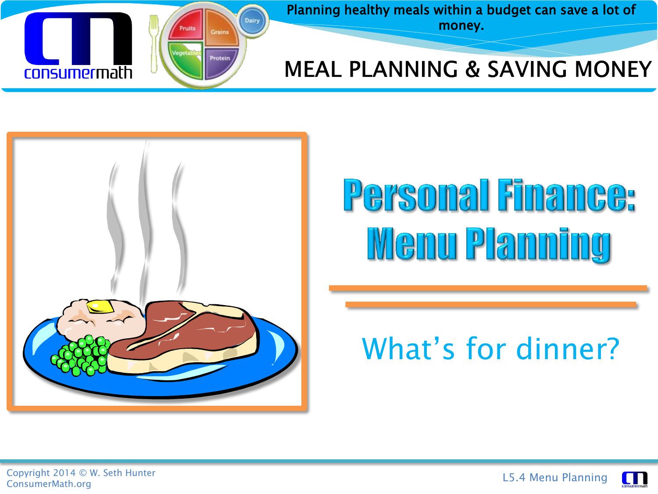

Planning healthy meals within a budget can save a lot of money.

#### **MEAL PLANNING & SAVING MONEY**



# Personal Finance: **Wenu Planning**

#### What's for dinner?



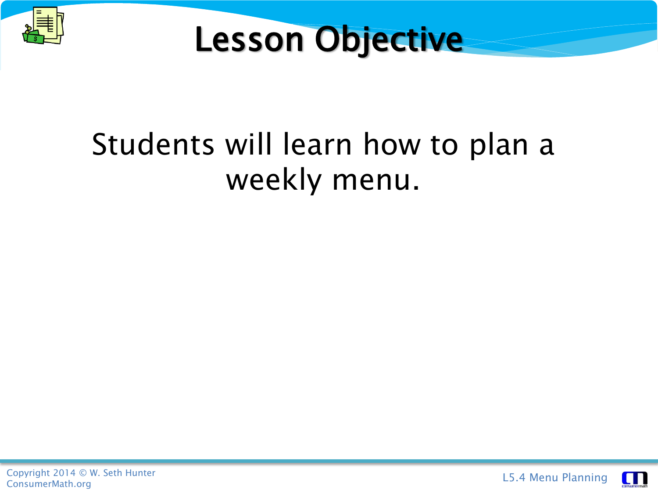



#### Students will learn how to plan a weekly menu.



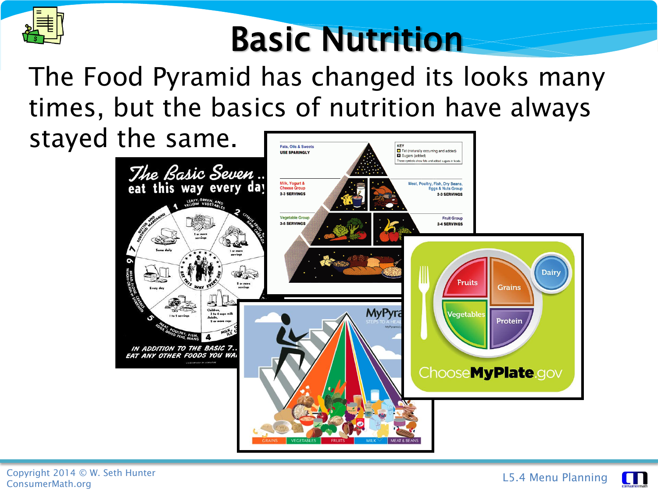

#### Basic Nutrition

The Food Pyramid has changed its looks many times, but the basics of nutrition have always

stayed the same.



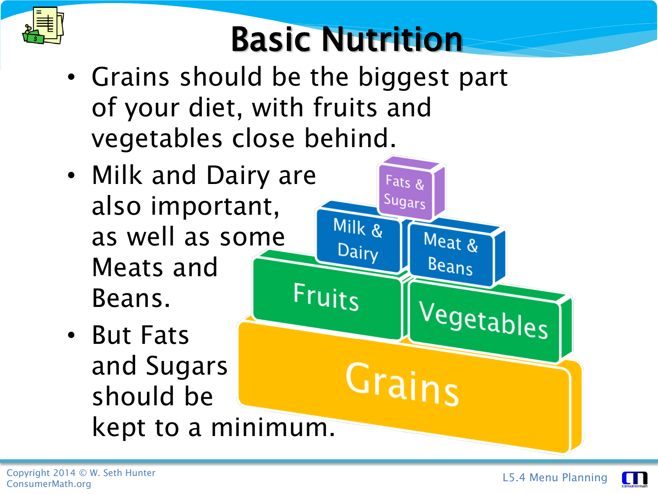

#### Basic Nutrition

Milk &

Dairy

Fats &

Sugars

Grains

Meat &

Beans

Vegetables

- Grains should be the biggest part of your diet, with fruits and vegetables close behind.
- Milk and Dairy are also important, as well as some Meats and Fruits Beans.
- But Fats and Sugars should be kept to a minimum.

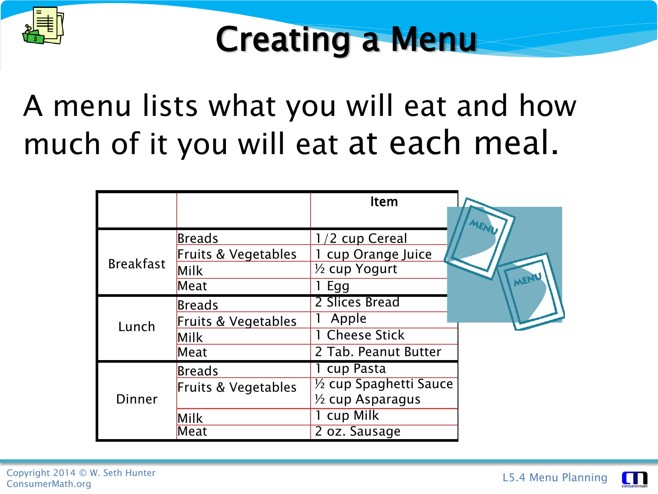

#### Creating a Menu

#### A menu lists what you will eat and how much of it you will eat at each meal.

|                  |                                | <b>Item</b>                       |  |
|------------------|--------------------------------|-----------------------------------|--|
|                  |                                |                                   |  |
|                  | <b>Breads</b>                  | 1/2 cup Cereal                    |  |
|                  | <b>Fruits &amp; Vegetables</b> | cup Orange Juice                  |  |
| <b>Breakfast</b> | Milk                           | 1/ <sub>2</sub> cup Yogurt        |  |
|                  | Meat                           | Egg                               |  |
|                  | <b>Breads</b>                  | 2 Slices Bread                    |  |
| Lunch            | <b>Fruits &amp; Vegetables</b> | Apple                             |  |
|                  | Milk                           | <b>Cheese Stick</b>               |  |
|                  | Meat                           | 2 Tab. Peanut Butter              |  |
|                  | <b>Breads</b>                  | 1 cup Pasta                       |  |
|                  | Fruits & Vegetables            | $\frac{1}{2}$ cup Spaghetti Sauce |  |
| <b>Dinner</b>    |                                | $\frac{1}{2}$ cup Asparagus       |  |
|                  | Milk                           | 1 cup Milk                        |  |
|                  | Meat                           | 2 oz. Sausage                     |  |

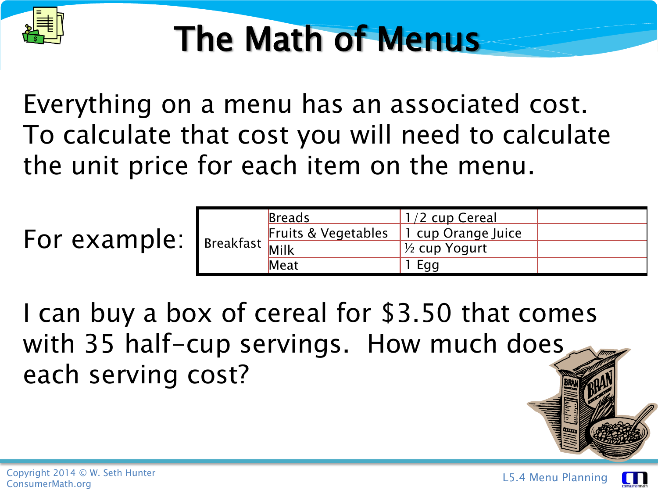

Everything on a menu has an associated cost. To calculate that cost you will need to calculate the unit price for each item on the menu.

For example:

| Breakfast | <b>Breads</b>                  | 1/2 cup Cereal     |  |
|-----------|--------------------------------|--------------------|--|
|           | <b>Fruits &amp; Vegetables</b> | 1 cup Orange Juice |  |
|           |                                | 1/2 cup Yogurt     |  |
|           | Meat                           | Eaa                |  |

I can buy a box of cereal for \$3.50 that comes with 35 half-cup servings. How much does each serving cost?

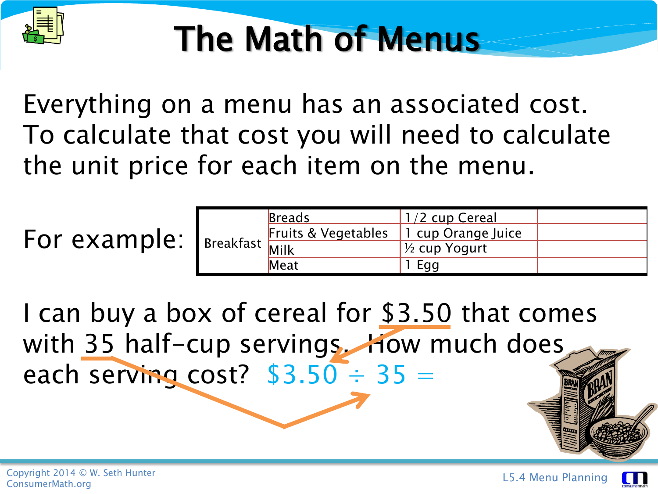

Everything on a menu has an associated cost. To calculate that cost you will need to calculate the unit price for each item on the menu.

For example:

| Breakfast Milk | <b>Breads</b>                  | 1/2 cup Cereal           |  |
|----------------|--------------------------------|--------------------------|--|
|                | <b>Fruits &amp; Vegetables</b> | 1 cup Orange Juice       |  |
|                |                                | $\frac{1}{2}$ cup Yogurt |  |
|                | Meat                           | Egg                      |  |

I can buy a box of cereal for \$3.50 that comes with 35 half-cup servings. How much does each serving cost?  $$3.50 \div 35 =$ 

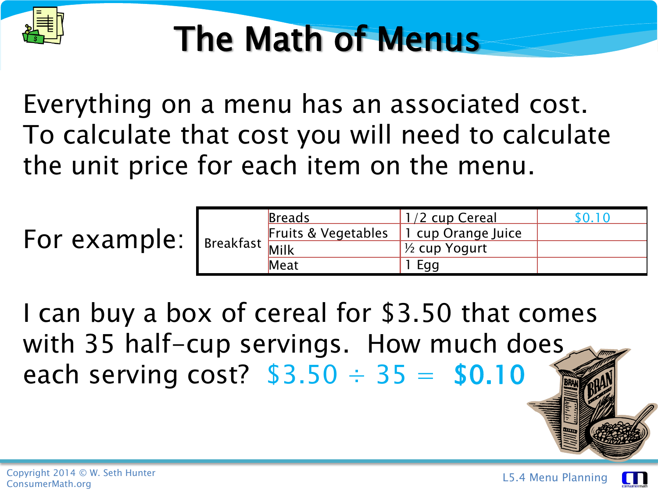

Everything on a menu has an associated cost. To calculate that cost you will need to calculate the unit price for each item on the menu.

For example:

| Breakfast | <b>Breads</b>                  | 1/2 cup Cereal     | 50. I C |
|-----------|--------------------------------|--------------------|---------|
|           | <b>Fruits &amp; Vegetables</b> | 1 cup Orange Juice |         |
|           |                                | 1/2 cup Yogurt     |         |
|           | Meat                           | Egg                |         |

I can buy a box of cereal for \$3.50 that comes with 35 half-cup servings. How much does each serving cost?  $$3.50 \div 35 = $0.10$ 

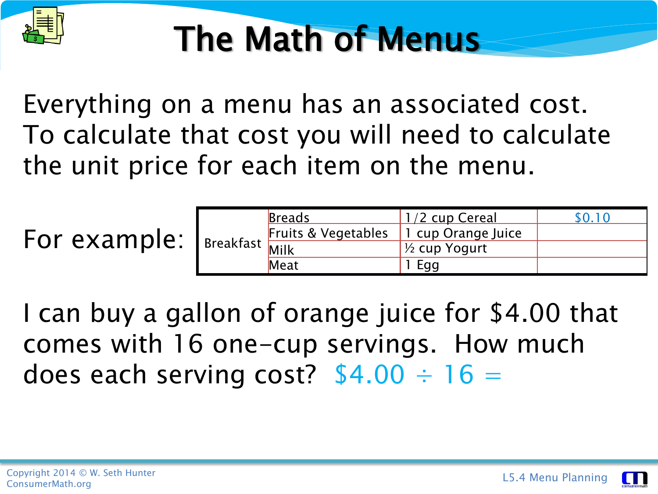

Everything on a menu has an associated cost. To calculate that cost you will need to calculate the unit price for each item on the menu.

For example:

| Breakfast Milk | Breads                         | 1/2 cup Cereal           | 50. I O |
|----------------|--------------------------------|--------------------------|---------|
|                | <b>Fruits &amp; Vegetables</b> | 1 cup Orange Juice       |         |
|                |                                | $\frac{1}{2}$ cup Yogurt |         |
|                | Meat                           | Egg                      |         |

I can buy a gallon of orange juice for \$4.00 that comes with 16 one-cup servings. How much does each serving cost?  $$4.00 \div 16 =$ 

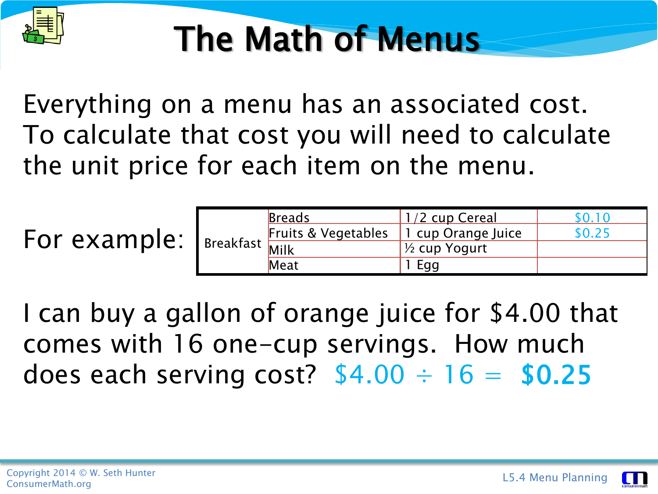

Everything on a menu has an associated cost. To calculate that cost you will need to calculate the unit price for each item on the menu.

For example:

| Breakfast Milk | <b>Breads</b>                  | 1/2 cup Cereal             | SO.10  |
|----------------|--------------------------------|----------------------------|--------|
|                | <b>Fruits &amp; Vegetables</b> | 1 cup Orange Juice         | \$0.25 |
|                |                                | 1/ <sub>2</sub> cup Yogurt |        |
|                | Meat                           | Egg                        |        |

I can buy a gallon of orange juice for \$4.00 that comes with 16 one-cup servings. How much does each serving cost?  $$4.00 \div 16 = $0.25$ 

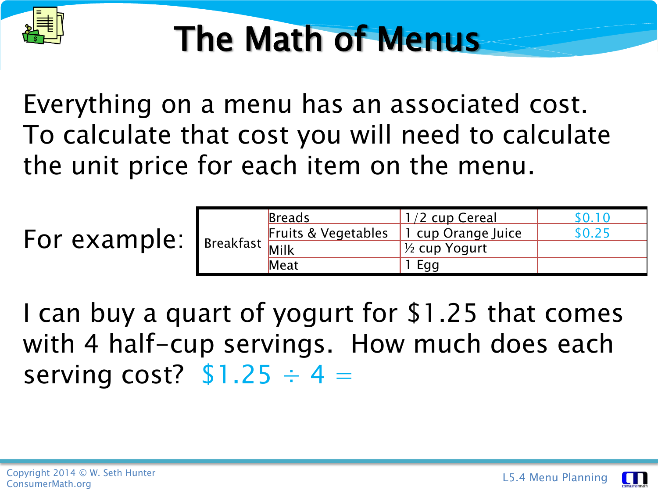

Everything on a menu has an associated cost. To calculate that cost you will need to calculate the unit price for each item on the menu.

For example:

| Breakfast Milk | <b>Breads</b>                  | 1/2 cup Cereal             | 50. I O |
|----------------|--------------------------------|----------------------------|---------|
|                | <b>Fruits &amp; Vegetables</b> | 1 cup Orange Juice         | 0.25. [ |
|                |                                | 1/ <sub>2</sub> cup Yogurt |         |
|                | Meat                           | Egg                        |         |

I can buy a quart of yogurt for \$1.25 that comes with 4 half-cup servings. How much does each serving cost?  $$1.25 \div 4 =$ 

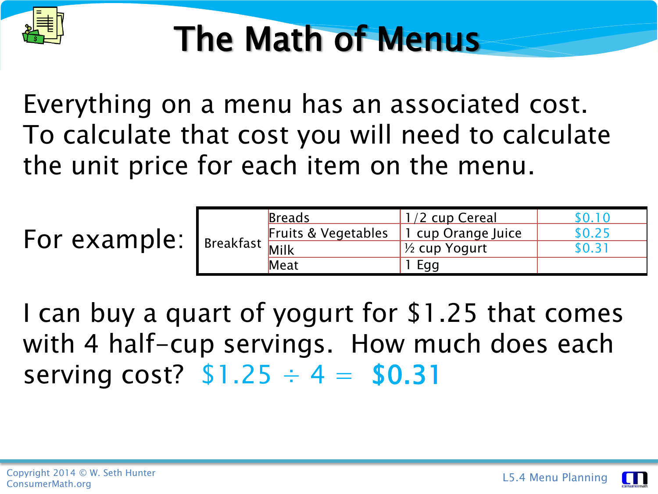

Everything on a menu has an associated cost. To calculate that cost you will need to calculate the unit price for each item on the menu.

For example:

| Breakfast Milk | <b>Breads</b>                  | 1/2 cup Cereal             | 50.10  |
|----------------|--------------------------------|----------------------------|--------|
|                | <b>Fruits &amp; Vegetables</b> | 1 cup Orange Juice         | \$0.25 |
|                |                                | 1/ <sub>2</sub> cup Yogurt | \$0.31 |
|                | Meat                           | Egg                        |        |

I can buy a quart of yogurt for \$1.25 that comes with 4 half-cup servings. How much does each serving cost?  $$1.25 \div 4 = $0.31$ 

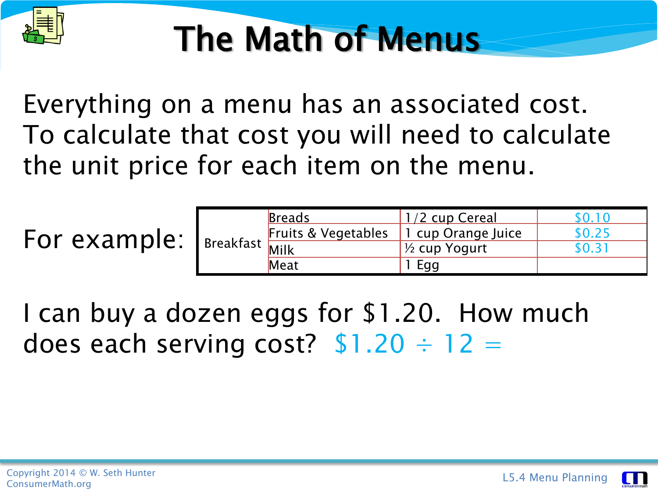

Everything on a menu has an associated cost. To calculate that cost you will need to calculate the unit price for each item on the menu.

For example:

| Breakfast Milk | Breads                         | 1/2 cup Cereal             |        |
|----------------|--------------------------------|----------------------------|--------|
|                | <b>Fruits &amp; Vegetables</b> | 1 cup Orange Juice         | \$0.25 |
|                |                                | 1/ <sub>2</sub> cup Yogurt | 10.31  |
|                | Meat                           | Egg                        |        |

I can buy a dozen eggs for \$1.20. How much does each serving cost?  $$1.20 \div 12 =$ 

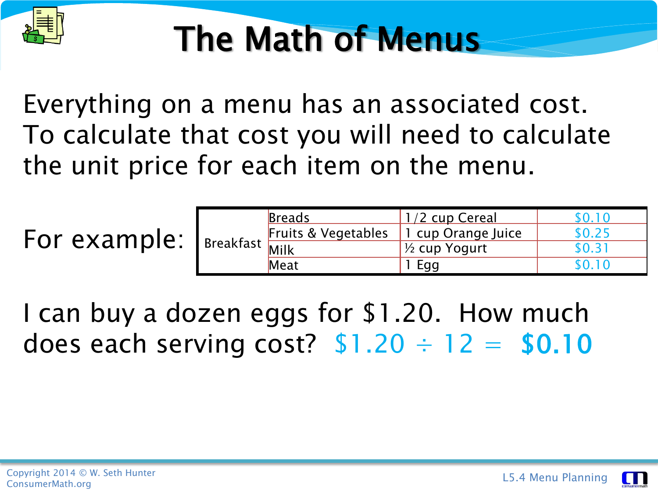

Everything on a menu has an associated cost. To calculate that cost you will need to calculate the unit price for each item on the menu.

For example:

| Breakfast Milk | <b>Breads</b>                  | 1/2 cup Cereal            |        |
|----------------|--------------------------------|---------------------------|--------|
|                | <b>Fruits &amp; Vegetables</b> | 1 cup Orange Juice        | \$0.25 |
|                |                                | V <sub>2</sub> cup Yogurt | \$0.31 |
|                | Meat                           | Egg                       | ח רמ   |

I can buy a dozen eggs for \$1.20. How much does each serving cost?  $$1.20 \div 12 = $0.10$ 



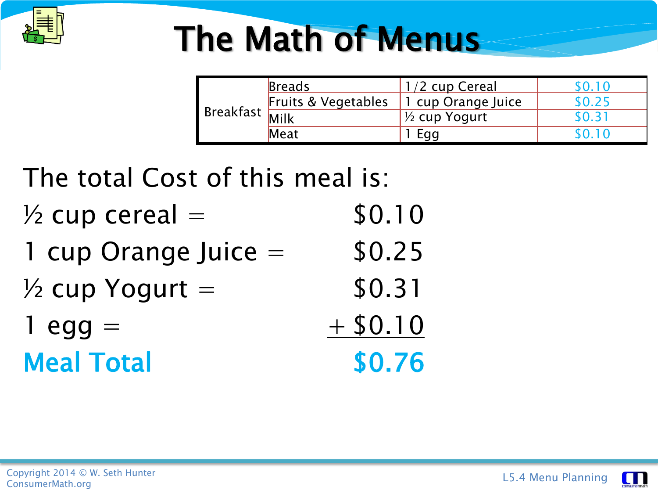

| Breakfast | <b>Breads</b>       | <u>1/2 cup Cereal</u>    | 50. LC |
|-----------|---------------------|--------------------------|--------|
|           | Fruits & Vegetables | 1 cup Orange Juice       | \$0.25 |
|           |                     | $\frac{1}{2}$ cup Yogurt | \$0.31 |
|           | Meat                | Eag                      | 50.10  |

#### The total Cost of this meal is:

| $\frac{1}{2}$ cup cereal $=$ | \$0.10     |
|------------------------------|------------|
| 1 cup Orange Juice $=$       | \$0.25     |
| $\frac{1}{2}$ cup Yogurt =   | \$0.31     |
| $1$ egg $=$                  | $+$ \$0.10 |
| <b>Meal Total</b>            | \$0.76     |

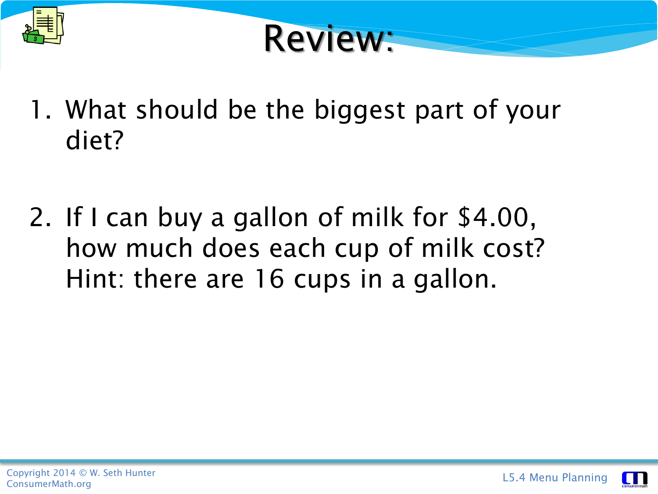



- 1. What should be the biggest part of your diet?
- 2. If I can buy a gallon of milk for \$4.00, how much does each cup of milk cost? Hint: there are 16 cups in a gallon.